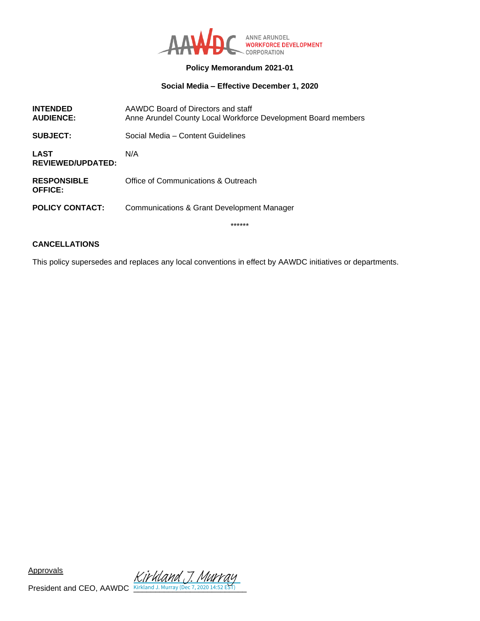

#### **Policy Memorandum 2021-01**

### **Social Media – Effective December 1, 2020**

| <b>SUBJECT:</b><br>Social Media - Content Guidelines<br><b>LAST</b><br>N/A<br><b>REVIEWED/UPDATED:</b><br>Office of Communications & Outreach<br><b>RESPONSIBLE</b><br><b>OFFICE:</b><br><b>POLICY CONTACT:</b><br>Communications & Grant Development Manager | <b>INTENDED</b><br><b>AUDIENCE:</b> | AAWDC Board of Directors and staff<br>Anne Arundel County Local Workforce Development Board members |
|---------------------------------------------------------------------------------------------------------------------------------------------------------------------------------------------------------------------------------------------------------------|-------------------------------------|-----------------------------------------------------------------------------------------------------|
|                                                                                                                                                                                                                                                               |                                     |                                                                                                     |
|                                                                                                                                                                                                                                                               |                                     |                                                                                                     |
|                                                                                                                                                                                                                                                               |                                     |                                                                                                     |
|                                                                                                                                                                                                                                                               |                                     |                                                                                                     |

\*\*\*\*\*\*

## **CANCELLATIONS**

This policy supersedes and replaces any local conventions in effect by AAWDC initiatives or departments.

Approvals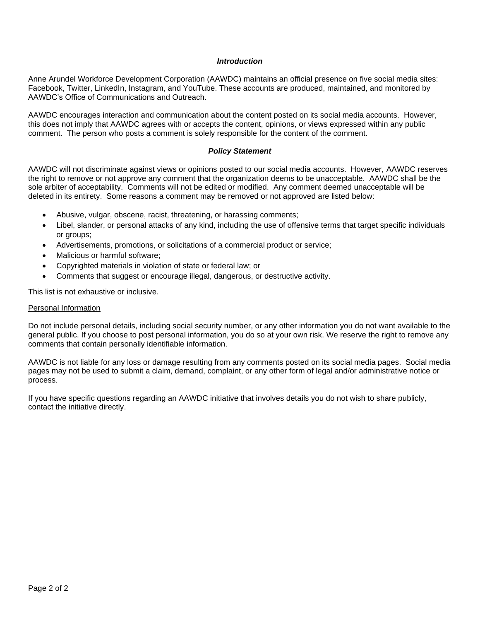#### *Introduction*

Anne Arundel Workforce Development Corporation (AAWDC) maintains an official presence on five social media sites: Facebook, Twitter, LinkedIn, Instagram, and YouTube. These accounts are produced, maintained, and monitored by AAWDC's Office of Communications and Outreach.

AAWDC encourages interaction and communication about the content posted on its social media accounts. However, this does not imply that AAWDC agrees with or accepts the content, opinions, or views expressed within any public comment. The person who posts a comment is solely responsible for the content of the comment.

#### *Policy Statement*

AAWDC will not discriminate against views or opinions posted to our social media accounts. However, AAWDC reserves the right to remove or not approve any comment that the organization deems to be unacceptable. AAWDC shall be the sole arbiter of acceptability. Comments will not be edited or modified. Any comment deemed unacceptable will be deleted in its entirety. Some reasons a comment may be removed or not approved are listed below:

- Abusive, vulgar, obscene, racist, threatening, or harassing comments;
- Libel, slander, or personal attacks of any kind, including the use of offensive terms that target specific individuals or groups;
- Advertisements, promotions, or solicitations of a commercial product or service;
- Malicious or harmful software;
- Copyrighted materials in violation of state or federal law; or
- Comments that suggest or encourage illegal, dangerous, or destructive activity.

This list is not exhaustive or inclusive.

#### Personal Information

Do not include personal details, including social security number, or any other information you do not want available to the general public. If you choose to post personal information, you do so at your own risk. We reserve the right to remove any comments that contain personally identifiable information.

AAWDC is not liable for any loss or damage resulting from any comments posted on its social media pages. Social media pages may not be used to submit a claim, demand, complaint, or any other form of legal and/or administrative notice or process.

If you have specific questions regarding an AAWDC initiative that involves details you do not wish to share publicly, contact the initiative directly.